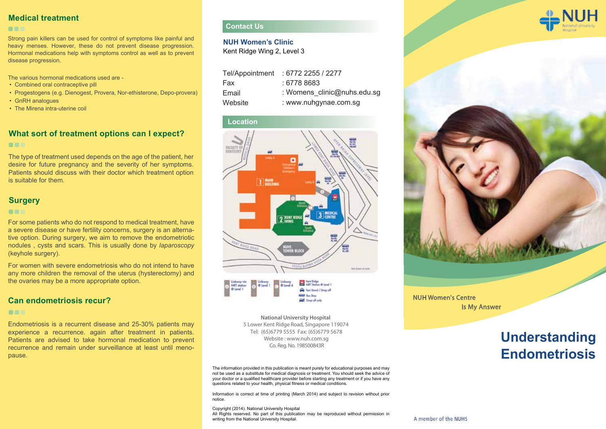### **Medical treatment**

#### **COL**

Strong pain killers can be used for control of symptoms like painful and heavy menses. However, these do not prevent disease progression. Hormonal medications help with symptoms control as well as to prevent disease progression.

The various hormonal medications used are -

- Combined oral contraceptive pill
- Progestogens (e.g. Dienogest, Provera, Nor-ethisterone, Depo-provera)
- GnRH analogues
- The Mirena intra-uterine coil

### **What sort of treatment options can I expect? DECK**

The type of treatment used depends on the age of the patient, her desire for future pregnancy and the severity of her symptoms. Patients should discuss with their doctor which treatment option is suitable for them.

### **Surgery**

#### **DOM:**

For some patients who do not respond to medical treatment, have a severe disease or have fertility concerns, surgery is an alternative option. During surgery, we aim to remove the endometriotic nodules , cysts and scars. This is usually done by *laparoscopy* (keyhole surgery).

For women with severe endometriosis who do not intend to have any more children the removal of the uterus (hysterectomy) and the ovaries may be a more appropriate option.

### **Can endometriosis recur?**

#### **DEC**

Endometriosis is a recurrent disease and 25-30% patients may experience a recurrence. again after treatment in patients. Patients are advised to take hormonal medication to prevent recurrence and remain under surveillance at least until menopause.

# **Contact Us**

### **NUH Women's Clinic**

Kent Ridge Wing 2, Level 3

| Tel/Appointment | : 6772 2255 / 2277          |
|-----------------|-----------------------------|
| Fax             | : 6778 8683                 |
| Email           | : Womens clinic@nuhs.edu.sg |
| Website         | : www.nuhgynae.com.sg       |





Co. Reg. No. 198500843R **National University Hospital**  5 Lower Kent Ridge Road, Singapore 119074 Website : www.nuh.com.sg Tel: (65)6779 5555 Fax: (65)6779 5678

The information provided in this publication is meant purely for educational purposes and may not be used as a substitute for medical diagnosis or treatment. You should seek the advice of your doctor or a qualified healthcare provider before starting any treatment or if you have any questions related to your health, physical fitness or medical conditions.

Information is correct at time of printing (March 2014) and subject to revision without prior notice.

Copyright (2014). National University Hospital All Rights reserved. No part of this publication may be reproduced without permission in writing from the National University Hospital.





NUH Women's Centre Is My Answer

# **Endometriosis Understanding**

#### A member of the NUHS